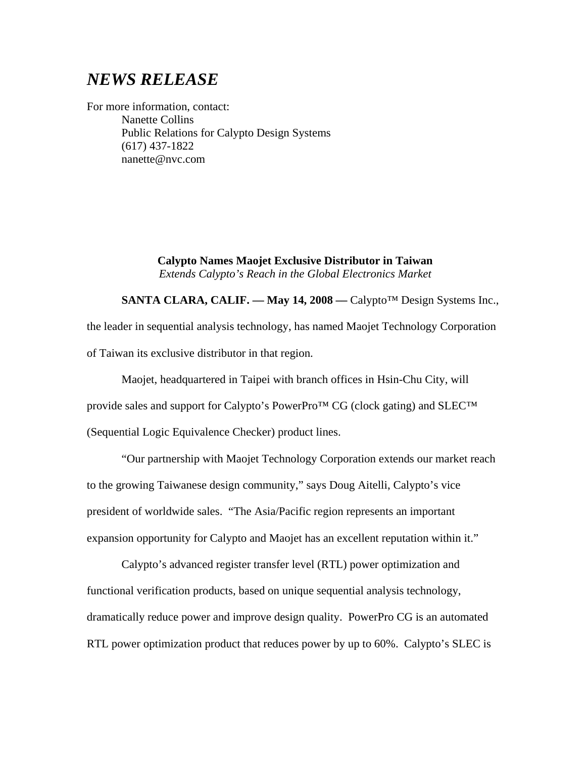## *NEWS RELEASE*

For more information, contact: Nanette Collins Public Relations for Calypto Design Systems (617) 437-1822 nanette@nvc.com

> **Calypto Names Maojet Exclusive Distributor in Taiwan** *Extends Calypto's Reach in the Global Electronics Market*

**SANTA CLARA, CALIF. –– May 14, 2008 ––** Calypto™ Design Systems Inc., the leader in sequential analysis technology, has named Maojet Technology Corporation of Taiwan its exclusive distributor in that region.

Maojet, headquartered in Taipei with branch offices in Hsin-Chu City, will provide sales and support for Calypto's PowerPro™ CG (clock gating) and SLEC™ (Sequential Logic Equivalence Checker) product lines.

"Our partnership with Maojet Technology Corporation extends our market reach to the growing Taiwanese design community," says Doug Aitelli, Calypto's vice president of worldwide sales. "The Asia/Pacific region represents an important expansion opportunity for Calypto and Maojet has an excellent reputation within it."

Calypto's advanced register transfer level (RTL) power optimization and functional verification products, based on unique sequential analysis technology, dramatically reduce power and improve design quality. PowerPro CG is an automated RTL power optimization product that reduces power by up to 60%. Calypto's SLEC is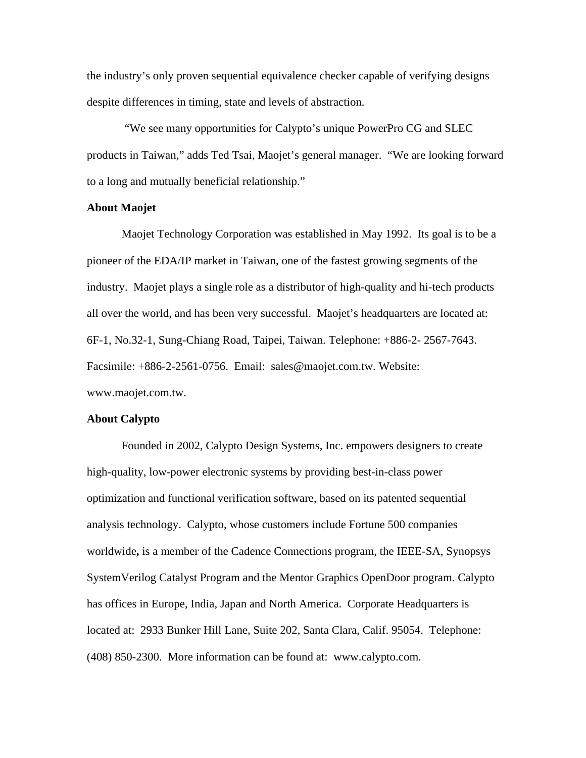the industry's only proven sequential equivalence checker capable of verifying designs despite differences in timing, state and levels of abstraction.

"We see many opportunities for Calypto's unique PowerPro CG and SLEC products in Taiwan," adds Ted Tsai, Maojet's general manager. "We are looking forward to a long and mutually beneficial relationship."

## **About Maojet**

Maojet Technology Corporation was established in May 1992. Its goal is to be a pioneer of the EDA/IP market in Taiwan, one of the fastest growing segments of the industry. Maojet plays a single role as a distributor of high-quality and hi-tech products all over the world, and has been very successful. Maojet's headquarters are located at: 6F-1, No.32-1, Sung-Chiang Road, Taipei, Taiwan. Telephone: +886-2- 2567-7643. Facsimile: +886-2-2561-0756. Email: sales@maojet.com.tw. Website: www.maojet.com.tw.

## **About Calypto**

Founded in 2002, Calypto Design Systems, Inc. empowers designers to create high-quality, low-power electronic systems by providing best-in-class power optimization and functional verification software, based on its patented sequential analysis technology. Calypto, whose customers include Fortune 500 companies worldwide**,** is a member of the Cadence Connections program, the IEEE-SA, Synopsys SystemVerilog Catalyst Program and the Mentor Graphics OpenDoor program. Calypto has offices in Europe, India, Japan and North America. Corporate Headquarters is located at: 2933 Bunker Hill Lane, Suite 202, Santa Clara, Calif. 95054. Telephone: (408) 850-2300. More information can be found at: [www.calypto.com](http://www.calypto.com/).